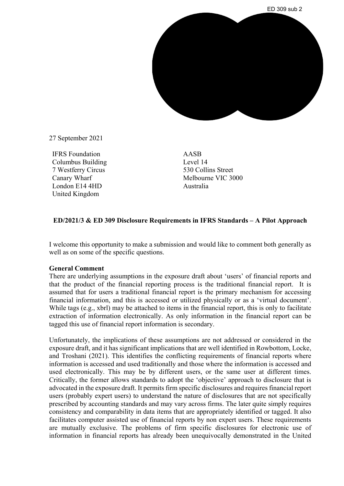

27 September 2021

IFRS Foundation Columbus Building 7 Westferry Circus Canary Wharf London E14 4HD United Kingdom

AASB Level 14 530 Collins Street Melbourne VIC 3000 Australia

## **ED/2021/3 & ED 309 Disclosure Requirements in IFRS Standards – A Pilot Approach**

I welcome this opportunity to make a submission and would like to comment both generally as well as on some of the specific questions.

## **General Comment**

There are underlying assumptions in the exposure draft about 'users' of financial reports and that the product of the financial reporting process is the traditional financial report. It is assumed that for users a traditional financial report is the primary mechanism for accessing financial information, and this is accessed or utilized physically or as a 'virtual document'. While tags (e.g., xbrl) may be attached to items in the financial report, this is only to facilitate extraction of information electronically. As only information in the financial report can be tagged this use of financial report information is secondary.

Unfortunately, the implications of these assumptions are not addressed or considered in the exposure draft, and it has significant implications that are well identified in Rowbottom, Locke, and Troshani (2021). This identifies the conflicting requirements of financial reports where information is accessed and used traditionally and those where the information is accessed and used electronically. This may be by different users, or the same user at different times. Critically, the former allows standards to adopt the 'objective' approach to disclosure that is advocated in the exposure draft. It permits firm specific disclosures and requires financial report users (probably expert users) to understand the nature of disclosures that are not specifically prescribed by accounting standards and may vary across firms. The later quite simply requires consistency and comparability in data items that are appropriately identified or tagged. It also facilitates computer assisted use of financial reports by non expert users. These requirements are mutually exclusive. The problems of firm specific disclosures for electronic use of information in financial reports has already been unequivocally demonstrated in the United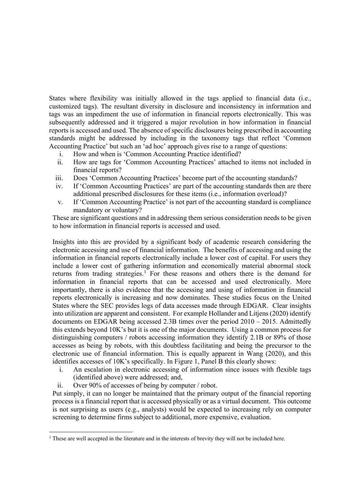States where flexibility was initially allowed in the tags applied to financial data (i.e., customized tags). The resultant diversity in disclosure and inconsistency in information and tags was an impediment the use of information in financial reports electronically. This was subsequently addressed and it triggered a major revolution in how information in financial reports is accessed and used. The absence of specific disclosures being prescribed in accounting standards might be addressed by including in the taxonomy tags that reflect 'Common Accounting Practice' but such an 'ad hoc' approach gives rise to a range of questions:

- i. How and when is 'Common Accounting Practice identified?
- ii. How are tags for 'Common Accounting Practices' attached to items not included in financial reports?
- iii. Does 'Common Accounting Practices' become part of the accounting standards?
- iv. If 'Common Accounting Practices' are part of the accounting standards then are there additional prescribed disclosures for these items (i.e., information overload)?
- v. If 'Common Accounting Practice' is not part of the accounting standard is compliance mandatory or voluntary?

These are significant questions and in addressing them serious consideration needs to be given to how information in financial reports is accessed and used.

Insights into this are provided by a significant body of academic research considering the electronic accessing and use of financial information. The benefits of accessing and using the information in financial reports electronically include a lower cost of capital. For users they include a lower cost of gathering information and economically material abnormal stock returns from trading strategies.<sup>[1](#page-1-0)</sup> For these reasons and others there is the demand for information in financial reports that can be accessed and used electronically. More importantly, there is also evidence that the accessing and using of information in financial reports electronically is increasing and now dominates. These studies focus on the United States where the SEC provides logs of data accesses made through EDGAR. Clear insights into utilization are apparent and consistent. For example Hollander and Litjens (2020) identify documents on EDGAR being accessed 2.3B times over the period 2010 – 2015. Admittedly this extends beyond 10K's but it is one of the major documents. Using a common process for distinguishing computers / robots accessing information they identify 2.1B or 89% of those accesses as being by robots, with this doubtless facilitating and being the precursor to the electronic use of financial information. This is equally apparent in Wang (2020), and this identifies accesses of 10K's specifically. In Figure 1, Panel B this clearly shows:

- i. An escalation in electronic accessing of information since issues with flexible tags (identified above) were addressed; and,
- ii. Over 90% of accesses of being by computer / robot.

Put simply, it can no longer be maintained that the primary output of the financial reporting process is a financial report that is accessed physically or as a virtual document. This outcome is not surprising as users (e.g., analysts) would be expected to increasing rely on computer screening to determine firms subject to additional, more expensive, evaluation.

<span id="page-1-0"></span> $\overline{a}$ <sup>1</sup> These are well accepted in the literature and in the interests of brevity they will not be included here.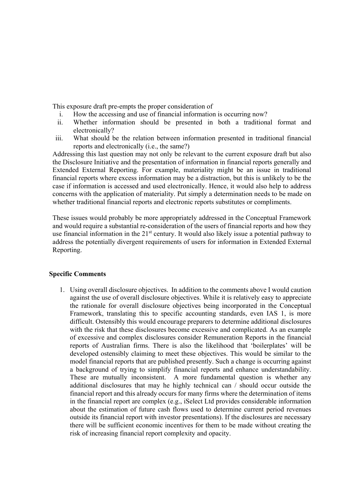This exposure draft pre-empts the proper consideration of

- i. How the accessing and use of financial information is occurring now?
- ii. Whether information should be presented in both a traditional format and electronically?
- iii. What should be the relation between information presented in traditional financial reports and electronically (i.e., the same?)

Addressing this last question may not only be relevant to the current exposure draft but also the Disclosure Initiative and the presentation of information in financial reports generally and Extended External Reporting. For example, materiality might be an issue in traditional financial reports where excess information may be a distraction, but this is unlikely to be the case if information is accessed and used electronically. Hence, it would also help to address concerns with the application of materiality. Put simply a determination needs to be made on whether traditional financial reports and electronic reports substitutes or compliments.

These issues would probably be more appropriately addressed in the Conceptual Framework and would require a substantial re-consideration of the users of financial reports and how they use financial information in the  $21<sup>st</sup>$  century. It would also likely issue a potential pathway to address the potentially divergent requirements of users for information in Extended External Reporting.

## **Specific Comments**

1. Using overall disclosure objectives. In addition to the comments above I would caution against the use of overall disclosure objectives. While it is relatively easy to appreciate the rationale for overall disclosure objectives being incorporated in the Conceptual Framework, translating this to specific accounting standards, even IAS 1, is more difficult. Ostensibly this would encourage preparers to determine additional disclosures with the risk that these disclosures become excessive and complicated. As an example of excessive and complex disclosures consider Remuneration Reports in the financial reports of Australian firms. There is also the likelihood that 'boilerplates' will be developed ostensibly claiming to meet these objectives. This would be similar to the model financial reports that are published presently. Such a change is occurring against a background of trying to simplify financial reports and enhance understandability. These are mutually inconsistent. A more fundamental question is whether any additional disclosures that may he highly technical can / should occur outside the financial report and this already occurs for many firms where the determination of items in the financial report are complex (e.g., iSelect Ltd provides considerable information about the estimation of future cash flows used to determine current period revenues outside its financial report with investor presentations). If the disclosures are necessary there will be sufficient economic incentives for them to be made without creating the risk of increasing financial report complexity and opacity.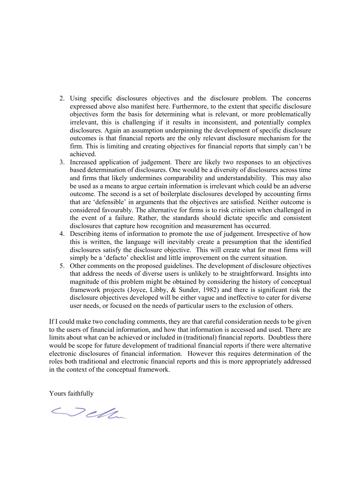- 2. Using specific disclosures objectives and the disclosure problem. The concerns expressed above also manifest here. Furthermore, to the extent that specific disclosure objectives form the basis for determining what is relevant, or more problematically irrelevant, this is challenging if it results in inconsistent, and potentially complex disclosures. Again an assumption underpinning the development of specific disclosure outcomes is that financial reports are the only relevant disclosure mechanism for the firm. This is limiting and creating objectives for financial reports that simply can't be achieved.
- 3. Increased application of judgement. There are likely two responses to an objectives based determination of disclosures. One would be a diversity of disclosures across time and firms that likely undermines comparability and understandability. This may also be used as a means to argue certain information is irrelevant which could be an adverse outcome. The second is a set of boilerplate disclosures developed by accounting firms that are 'defensible' in arguments that the objectives are satisfied. Neither outcome is considered favourably. The alternative for firms is to risk criticism when challenged in the event of a failure. Rather, the standards should dictate specific and consistent disclosures that capture how recognition and measurement has occurred.
- 4. Describing items of information to promote the use of judgement. Irrespective of how this is written, the language will inevitably create a presumption that the identified disclosures satisfy the disclosure objective. This will create what for most firms will simply be a 'defacto' checklist and little improvement on the current situation.
- 5. Other comments on the proposed guidelines. The development of disclosure objectives that address the needs of diverse users is unlikely to be straightforward. Insights into magnitude of this problem might be obtained by considering the history of conceptual framework projects (Joyce, Libby, & Sunder, 1982) and there is significant risk the disclosure objectives developed will be either vague and ineffective to cater for diverse user needs, or focused on the needs of particular users to the exclusion of others.

If I could make two concluding comments, they are that careful consideration needs to be given to the users of financial information, and how that information is accessed and used. There are limits about what can be achieved or included in (traditional) financial reports. Doubtless there would be scope for future development of traditional financial reports if there were alternative electronic disclosures of financial information. However this requires determination of the roles both traditional and electronic financial reports and this is more appropriately addressed in the context of the conceptual framework.

Yours faithfully

Della